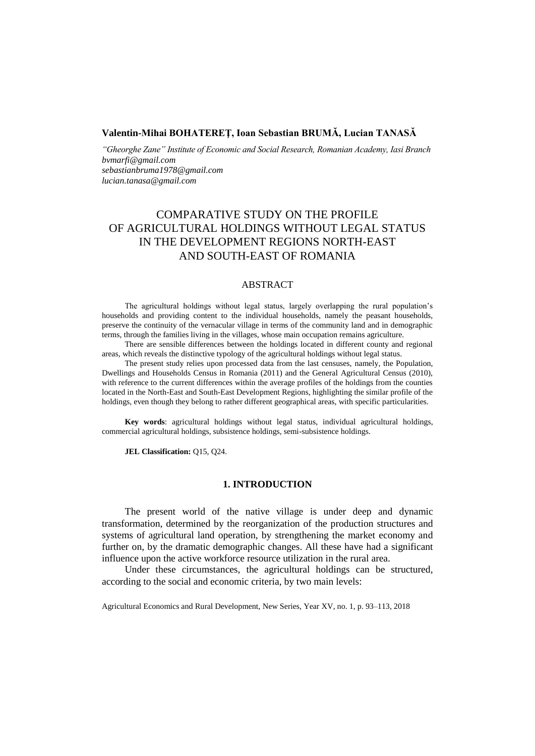## **Valentin-Mihai BOHATEREŢ, Ioan Sebastian BRUMĂ, Lucian TANASĂ**

*"Gheorghe Zane" Institute of Economic and Social Research, Romanian Academy, Iasi Branch bvmarfi@gmail.com sebastianbruma1978@gmail.com lucian.tanasa@gmail.com*

# COMPARATIVE STUDY ON THE PROFILE OF AGRICULTURAL HOLDINGS WITHOUT LEGAL STATUS IN THE DEVELOPMENT REGIONS NORTH-EAST AND SOUTH-EAST OF ROMANIA

### ABSTRACT

The agricultural holdings without legal status, largely overlapping the rural population's households and providing content to the individual households, namely the peasant households, preserve the continuity of the vernacular village in terms of the community land and in demographic terms, through the families living in the villages, whose main occupation remains agriculture.

There are sensible differences between the holdings located in different county and regional areas, which reveals the distinctive typology of the agricultural holdings without legal status.

The present study relies upon processed data from the last censuses, namely, the Population, Dwellings and Households Census in Romania (2011) and the General Agricultural Census (2010), with reference to the current differences within the average profiles of the holdings from the counties located in the North-East and South-East Development Regions, highlighting the similar profile of the holdings, even though they belong to rather different geographical areas, with specific particularities.

**Key words**: agricultural holdings without legal status, individual agricultural holdings, commercial agricultural holdings, subsistence holdings, semi-subsistence holdings.

**JEL Classification:** Q15, Q24.

### **1. INTRODUCTION**

The present world of the native village is under deep and dynamic transformation, determined by the reorganization of the production structures and systems of agricultural land operation, by strengthening the market economy and further on, by the dramatic demographic changes. All these have had a significant influence upon the active workforce resource utilization in the rural area.

Under these circumstances, the agricultural holdings can be structured, according to the social and economic criteria, by two main levels:

Agricultural Economics and Rural Development, New Series, Year XV, no. 1, p. 93–113, 2018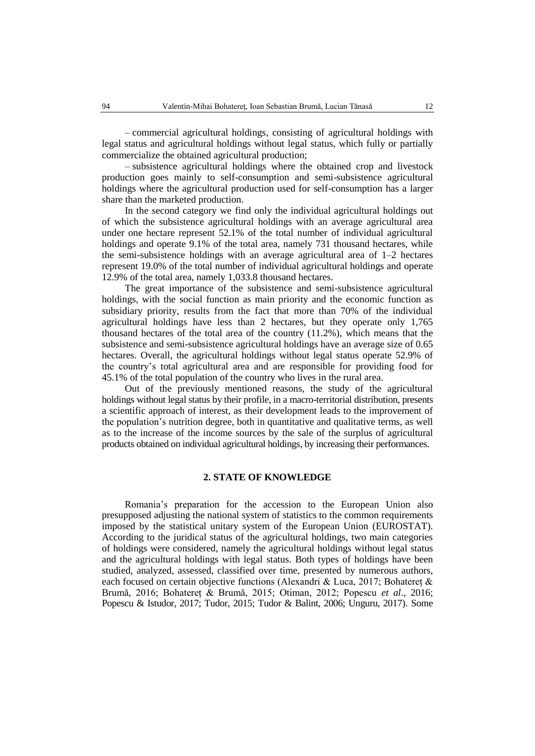– commercial agricultural holdings, consisting of agricultural holdings with legal status and agricultural holdings without legal status, which fully or partially commercialize the obtained agricultural production;

– subsistence agricultural holdings where the obtained crop and livestock production goes mainly to self-consumption and semi-subsistence agricultural holdings where the agricultural production used for self-consumption has a larger share than the marketed production.

In the second category we find only the individual agricultural holdings out of which the subsistence agricultural holdings with an average agricultural area under one hectare represent 52.1% of the total number of individual agricultural holdings and operate 9.1% of the total area, namely 731 thousand hectares, while the semi-subsistence holdings with an average agricultural area of 1–2 hectares represent 19.0% of the total number of individual agricultural holdings and operate 12.9% of the total area, namely 1,033.8 thousand hectares.

The great importance of the subsistence and semi-subsistence agricultural holdings, with the social function as main priority and the economic function as subsidiary priority, results from the fact that more than 70% of the individual agricultural holdings have less than 2 hectares, but they operate only 1,765 thousand hectares of the total area of the country (11.2%), which means that the subsistence and semi-subsistence agricultural holdings have an average size of 0.65 hectares. Overall, the agricultural holdings without legal status operate 52.9% of the country's total agricultural area and are responsible for providing food for 45.1% of the total population of the country who lives in the rural area.

Out of the previously mentioned reasons, the study of the agricultural holdings without legal status by their profile, in a macro-territorial distribution, presents a scientific approach of interest, as their development leads to the improvement of the population's nutrition degree, both in quantitative and qualitative terms, as well as to the increase of the income sources by the sale of the surplus of agricultural products obtained on individual agricultural holdings, by increasing their performances.

## **2. STATE OF KNOWLEDGE**

Romania's preparation for the accession to the European Union also presupposed adjusting the national system of statistics to the common requirements imposed by the statistical unitary system of the European Union (EUROSTAT). According to the juridical status of the agricultural holdings, two main categories of holdings were considered, namely the agricultural holdings without legal status and the agricultural holdings with legal status. Both types of holdings have been studied, analyzed, assessed, classified over time, presented by numerous authors, each focused on certain objective functions (Alexandri & Luca, 2017; Bohatereț & Brumă, 2016; Bohatereț & Brumă, 2015; Otiman, 2012; Popescu *et al*., 2016; Popescu & Istudor, 2017; Tudor, 2015; Tudor & Balint, 2006; Unguru, 2017). Some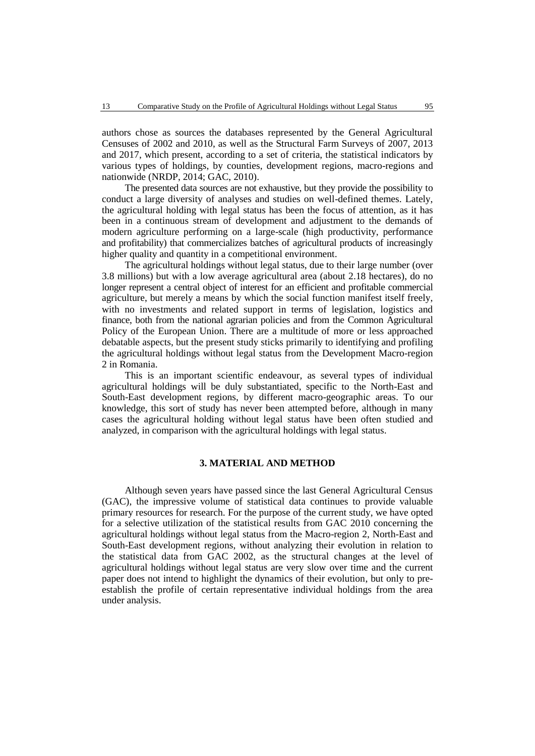authors chose as sources the databases represented by the General Agricultural Censuses of 2002 and 2010, as well as the Structural Farm Surveys of 2007, 2013 and 2017, which present, according to a set of criteria, the statistical indicators by various types of holdings, by counties, development regions, macro-regions and nationwide (NRDP, 2014; GAC, 2010).

The presented data sources are not exhaustive, but they provide the possibility to conduct a large diversity of analyses and studies on well-defined themes. Lately, the agricultural holding with legal status has been the focus of attention, as it has been in a continuous stream of development and adjustment to the demands of modern agriculture performing on a large-scale (high productivity, performance and profitability) that commercializes batches of agricultural products of increasingly higher quality and quantity in a competitional environment.

The agricultural holdings without legal status, due to their large number (over 3.8 millions) but with a low average agricultural area (about 2.18 hectares), do no longer represent a central object of interest for an efficient and profitable commercial agriculture, but merely a means by which the social function manifest itself freely, with no investments and related support in terms of legislation, logistics and finance, both from the national agrarian policies and from the Common Agricultural Policy of the European Union. There are a multitude of more or less approached debatable aspects, but the present study sticks primarily to identifying and profiling the agricultural holdings without legal status from the Development Macro-region 2 in Romania.

This is an important scientific endeavour, as several types of individual agricultural holdings will be duly substantiated, specific to the North-East and South-East development regions, by different macro-geographic areas. To our knowledge, this sort of study has never been attempted before, although in many cases the agricultural holding without legal status have been often studied and analyzed, in comparison with the agricultural holdings with legal status.

### **3. MATERIAL AND METHOD**

Although seven years have passed since the last General Agricultural Census (GAC), the impressive volume of statistical data continues to provide valuable primary resources for research. For the purpose of the current study, we have opted for a selective utilization of the statistical results from GAC 2010 concerning the agricultural holdings without legal status from the Macro-region 2, North-East and South-East development regions, without analyzing their evolution in relation to the statistical data from GAC 2002, as the structural changes at the level of agricultural holdings without legal status are very slow over time and the current paper does not intend to highlight the dynamics of their evolution, but only to preestablish the profile of certain representative individual holdings from the area under analysis.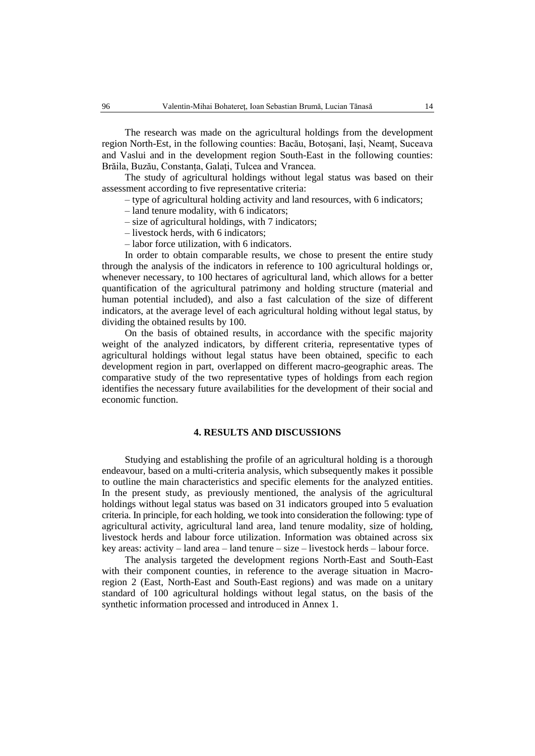The research was made on the agricultural holdings from the development region North-Est, in the following counties: Bacău, Botoșani, Iași, Neamț, Suceava and Vaslui and in the development region South-East in the following counties: Brăila, Buzău, Constanța, Galați, Tulcea and Vrancea.

The study of agricultural holdings without legal status was based on their assessment according to five representative criteria:

– type of agricultural holding activity and land resources, with 6 indicators;

– land tenure modality, with 6 indicators;

- size of agricultural holdings, with 7 indicators;
- livestock herds, with 6 indicators;
- labor force utilization, with 6 indicators.

In order to obtain comparable results, we chose to present the entire study through the analysis of the indicators in reference to 100 agricultural holdings or, whenever necessary, to 100 hectares of agricultural land, which allows for a better quantification of the agricultural patrimony and holding structure (material and human potential included), and also a fast calculation of the size of different indicators, at the average level of each agricultural holding without legal status, by dividing the obtained results by 100.

On the basis of obtained results, in accordance with the specific majority weight of the analyzed indicators, by different criteria, representative types of agricultural holdings without legal status have been obtained, specific to each development region in part, overlapped on different macro-geographic areas. The comparative study of the two representative types of holdings from each region identifies the necessary future availabilities for the development of their social and economic function.

## **4. RESULTS AND DISCUSSIONS**

Studying and establishing the profile of an agricultural holding is a thorough endeavour, based on a multi-criteria analysis, which subsequently makes it possible to outline the main characteristics and specific elements for the analyzed entities. In the present study, as previously mentioned, the analysis of the agricultural holdings without legal status was based on 31 indicators grouped into 5 evaluation criteria. In principle, for each holding, we took into consideration the following: type of agricultural activity, agricultural land area, land tenure modality, size of holding, livestock herds and labour force utilization. Information was obtained across six key areas: activity – land area – land tenure – size – livestock herds – labour force.

The analysis targeted the development regions North-East and South-East with their component counties, in reference to the average situation in Macroregion 2 (East, North-East and South-East regions) and was made on a unitary standard of 100 agricultural holdings without legal status, on the basis of the synthetic information processed and introduced in Annex 1.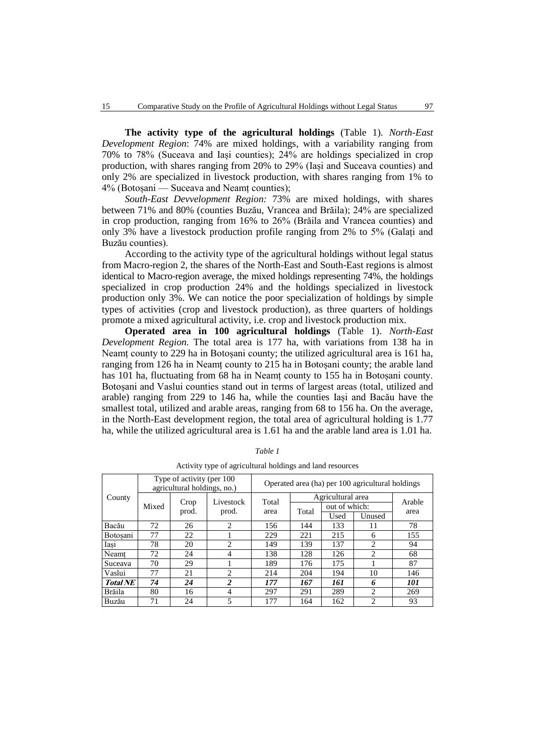**The activity type of the agricultural holdings** (Table 1). *North-East Development Region*: 74% are mixed holdings, with a variability ranging from 70% to 78% (Suceava and Iași counties); 24% are holdings specialized in crop production, with shares ranging from 20% to 29% (Iași and Suceava counties) and only 2% are specialized in livestock production, with shares ranging from 1% to 4% (Botoșani — Suceava and Neamț counties);

*South-East Devvelopment Region:* 73% are mixed holdings, with shares between 71% and 80% (counties Buzău, Vrancea and Brăila); 24% are specialized in crop production, ranging from 16% to 26% (Brăila and Vrancea counties) and only 3% have a livestock production profile ranging from 2% to 5% (Galați and Buzău counties).

According to the activity type of the agricultural holdings without legal status from Macro-region 2, the shares of the North-East and South-East regions is almost identical to Macro-region average, the mixed holdings representing 74%, the holdings specialized in crop production 24% and the holdings specialized in livestock production only 3%. We can notice the poor specialization of holdings by simple types of activities (crop and livestock production), as three quarters of holdings promote a mixed agricultural activity, i.e. crop and livestock production mix.

**Operated area in 100 agricultural holdings** (Table 1). *North-East Development Region.* The total area is 177 ha, with variations from 138 ha in Neamț county to 229 ha in Botoșani county; the utilized agricultural area is 161 ha, ranging from 126 ha in Neamț county to 215 ha in Botoșani county; the arable land has 101 ha, fluctuating from 68 ha in Neamț county to 155 ha in Botoșani county. Botoșani and Vaslui counties stand out in terms of largest areas (total, utilized and arable) ranging from 229 to 146 ha, while the counties Iași and Bacău have the smallest total, utilized and arable areas, ranging from 68 to 156 ha. On the average, in the North-East development region, the total area of agricultural holding is 1.77 ha, while the utilized agricultural area is 1.61 ha and the arable land area is 1.01 ha.

| County          |       | Type of activity (per 100)<br>agricultural holdings, no.) |                             | Operated area (ha) per 100 agricultural holdings |       |                   |                |        |  |  |
|-----------------|-------|-----------------------------------------------------------|-----------------------------|--------------------------------------------------|-------|-------------------|----------------|--------|--|--|
|                 |       |                                                           | Livestock                   | Total<br>area                                    |       | Agricultural area |                | Arable |  |  |
|                 | Mixed | Crop                                                      |                             |                                                  | Total | out of which:     |                |        |  |  |
|                 |       | prod.                                                     | prod.                       |                                                  |       | Used              | Unused         | area   |  |  |
| Bacău           | 72    | 26                                                        | $\mathcal{D}_{\mathcal{L}}$ | 156                                              | 144   | 133               | 11             | 78     |  |  |
| <b>Botosani</b> | 77    | 22                                                        |                             | 229                                              | 221   | 215               | 6              | 155    |  |  |
| Iasi            | 78    | 20                                                        | $\mathfrak{D}$              | 149                                              | 139   | 137               | $\mathfrak{D}$ | 94     |  |  |
| Neamt           | 72    | 24                                                        | $\overline{4}$              | 138                                              | 128   | 126               | $\overline{c}$ | 68     |  |  |
| Suceava         | 70    | 29                                                        |                             | 189                                              | 176   | 175               |                | 87     |  |  |
| Vaslui          | 77    | 21                                                        | $\mathcal{D}_{\mathcal{L}}$ | 214                                              | 204   | 194               | 10             | 146    |  |  |
| <b>Total NE</b> | 74    | 24                                                        | $\overline{c}$              | 177                                              | 167   | 161               | 6              | 101    |  |  |
| <b>Brăila</b>   | 80    | 16                                                        | $\overline{4}$              | 297                                              | 291   | 289               | 2              | 269    |  |  |
| Buzău           | 71    | 24                                                        | 5                           | 177                                              | 164   | 162               | $\mathfrak{D}$ | 93     |  |  |

*Table 1* Activity type of agricultural holdings and land resources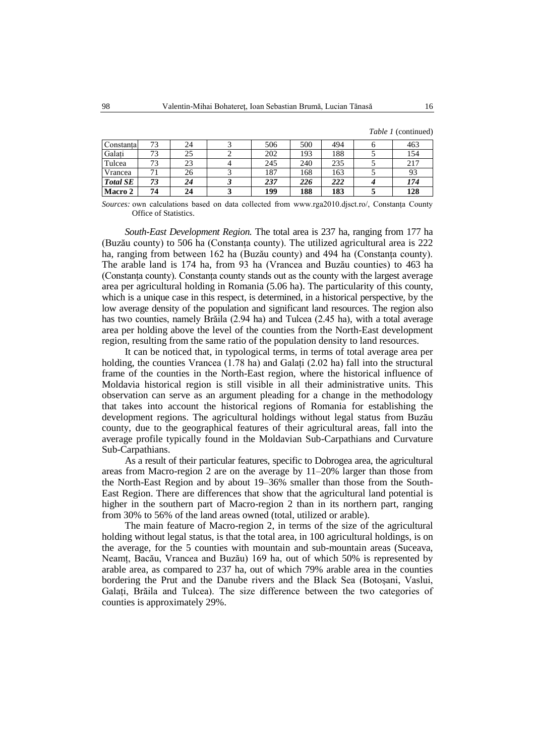*Table 1* (continued)

| Constanta       | 73 | 24 | 506 | 500 | 494 | 463 |
|-----------------|----|----|-----|-----|-----|-----|
| Galati          | 73 | 25 | 202 | 193 | 188 | 154 |
| Tulcea          | 73 | 23 | 245 | 240 | 235 | 217 |
| Vrancea         |    | 26 | 187 | 168 | 163 | 93  |
| <b>Total SE</b> | 73 | 24 | 237 | 226 | 222 | 174 |
| Macro 2         | 74 | 24 | 199 | 188 | 183 | 128 |

*Sources:* own calculations based on data collected from www.rga2010.djsct.ro/, Constanța County Office of Statistics.

*South-East Development Region.* The total area is 237 ha, ranging from 177 ha (Buzău county) to 506 ha (Constanța county). The utilized agricultural area is 222 ha, ranging from between 162 ha (Buzău county) and 494 ha (Constanța county). The arable land is 174 ha, from 93 ha (Vrancea and Buzău counties) to 463 ha (Constanța county). Constanța county stands out as the county with the largest average area per agricultural holding in Romania (5.06 ha). The particularity of this county, which is a unique case in this respect, is determined, in a historical perspective, by the low average density of the population and significant land resources. The region also has two counties, namely Brăila (2.94 ha) and Tulcea (2.45 ha), with a total average area per holding above the level of the counties from the North-East development region, resulting from the same ratio of the population density to land resources.

It can be noticed that, in typological terms, in terms of total average area per holding, the counties Vrancea (1.78 ha) and Galați (2.02 ha) fall into the structural frame of the counties in the North-East region, where the historical influence of Moldavia historical region is still visible in all their administrative units. This observation can serve as an argument pleading for a change in the methodology that takes into account the historical regions of Romania for establishing the development regions. The agricultural holdings without legal status from Buzău county, due to the geographical features of their agricultural areas, fall into the average profile typically found in the Moldavian Sub-Carpathians and Curvature Sub-Carpathians.

As a result of their particular features, specific to Dobrogea area, the agricultural areas from Macro-region 2 are on the average by 11–20% larger than those from the North-East Region and by about 19–36% smaller than those from the South-East Region. There are differences that show that the agricultural land potential is higher in the southern part of Macro-region 2 than in its northern part, ranging from 30% to 56% of the land areas owned (total, utilized or arable).

The main feature of Macro-region 2, in terms of the size of the agricultural holding without legal status, is that the total area, in 100 agricultural holdings, is on the average, for the 5 counties with mountain and sub-mountain areas (Suceava, Neamț, Bacău, Vrancea and Buzău) 169 ha, out of which 50% is represented by arable area, as compared to 237 ha, out of which 79% arable area in the counties bordering the Prut and the Danube rivers and the Black Sea (Botoșani, Vaslui, Galați, Brăila and Tulcea). The size difference between the two categories of counties is approximately 29%.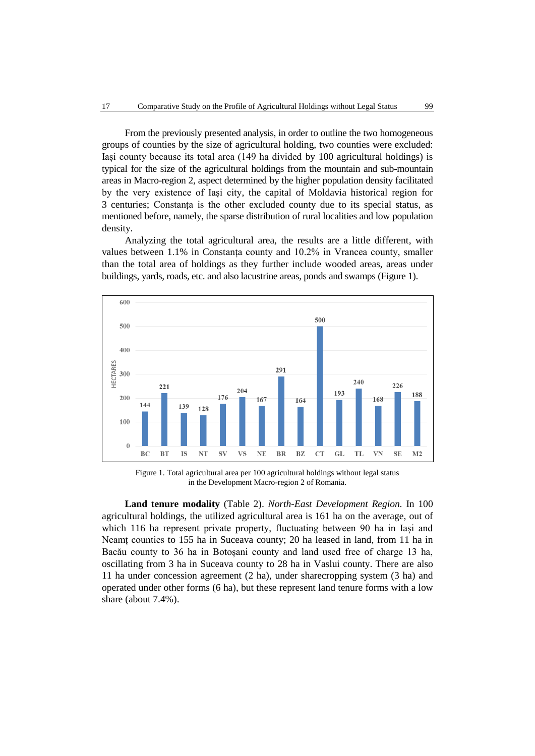From the previously presented analysis, in order to outline the two homogeneous groups of counties by the size of agricultural holding, two counties were excluded: Iași county because its total area (149 ha divided by 100 agricultural holdings) is typical for the size of the agricultural holdings from the mountain and sub-mountain areas in Macro-region 2, aspect determined by the higher population density facilitated by the very existence of Iași city, the capital of Moldavia historical region for 3 centuries; Constanța is the other excluded county due to its special status, as mentioned before, namely, the sparse distribution of rural localities and low population density.

Analyzing the total agricultural area, the results are a little different, with values between 1.1% in Constanța county and 10.2% in Vrancea county, smaller than the total area of holdings as they further include wooded areas, areas under buildings, yards, roads, etc. and also lacustrine areas, ponds and swamps (Figure 1).



Figure 1. Total agricultural area per 100 agricultural holdings without legal status in the Development Macro-region 2 of Romania.

**Land tenure modality** (Table 2). *North-East Development Region.* In 100 agricultural holdings, the utilized agricultural area is 161 ha on the average, out of which 116 ha represent private property, fluctuating between 90 ha in Iași and Neamț counties to 155 ha in Suceava county; 20 ha leased in land, from 11 ha in Bacău county to 36 ha in Botoșani county and land used free of charge 13 ha, oscillating from 3 ha in Suceava county to 28 ha in Vaslui county. There are also 11 ha under concession agreement (2 ha), under sharecropping system (3 ha) and operated under other forms (6 ha), but these represent land tenure forms with a low share (about 7.4%).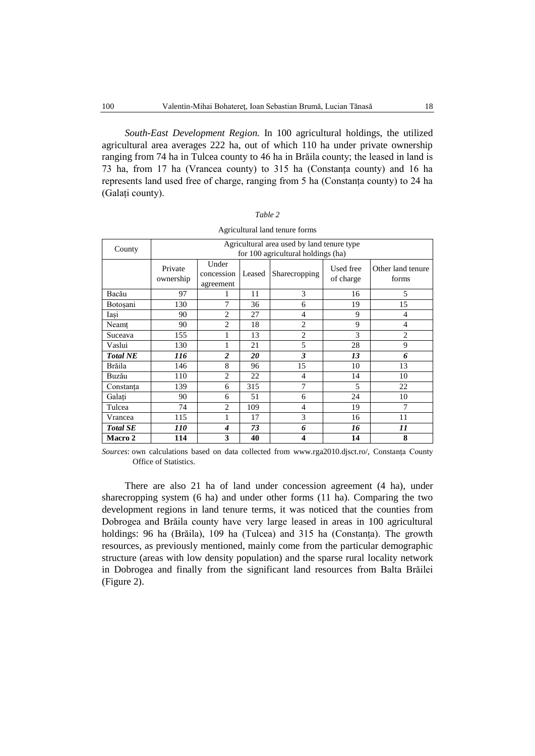*South-East Development Region.* In 100 agricultural holdings, the utilized agricultural area averages 222 ha, out of which 110 ha under private ownership ranging from 74 ha in Tulcea county to 46 ha in Brăila county; the leased in land is 73 ha, from 17 ha (Vrancea county) to 315 ha (Constanța county) and 16 ha represents land used free of charge, ranging from 5 ha (Constanța county) to 24 ha (Galați county).

| Table 2                        |  |
|--------------------------------|--|
| Agricultural land tenure forms |  |

| County          |                                    | Agricultural area used by land tenure type |        |                |                        |                            |  |  |  |  |  |
|-----------------|------------------------------------|--------------------------------------------|--------|----------------|------------------------|----------------------------|--|--|--|--|--|
|                 | for 100 agricultural holdings (ha) |                                            |        |                |                        |                            |  |  |  |  |  |
|                 | Private<br>ownership               | Under<br>concession<br>agreement           | Leased | Sharecropping  | Used free<br>of charge | Other land tenure<br>forms |  |  |  |  |  |
| Bacău           | 97                                 |                                            | 11     | 3              | 16                     | 5                          |  |  |  |  |  |
| Botoşani        | 130                                | 7                                          | 36     | 6              | 19                     | 15                         |  |  |  |  |  |
| Iasi            | 90                                 | 2                                          | 27     | 4              | 9                      | 4                          |  |  |  |  |  |
| Neamt           | 90                                 | $\overline{c}$                             | 18     | $\overline{2}$ | 9                      | $\overline{4}$             |  |  |  |  |  |
| Suceava         | 155                                | 1                                          | 13     | $\overline{2}$ | 3                      | $\overline{2}$             |  |  |  |  |  |
| Vaslui          | 130                                | 1                                          | 21     | 5              | 28                     | 9                          |  |  |  |  |  |
| <b>Total NE</b> | 116                                | 2                                          | 20     | 3              | 13                     | 6                          |  |  |  |  |  |
| Brăila          | 146                                | 8                                          | 96     | 15             | 10                     | 13                         |  |  |  |  |  |
| Buzău           | 110                                | 2                                          | 22     | 4              | 14                     | 10                         |  |  |  |  |  |
| Constanța       | 139                                | 6                                          | 315    | 7              | $\overline{5}$         | 22                         |  |  |  |  |  |
| Galati          | 90                                 | 6                                          | 51     | 6              | 24                     | 10                         |  |  |  |  |  |
| Tulcea          | 74                                 | 2                                          | 109    | $\overline{4}$ | 19                     | 7                          |  |  |  |  |  |
| Vrancea         | 115                                | 1                                          | 17     | 3              | 16                     | 11                         |  |  |  |  |  |
| <b>Total SE</b> | <i>110</i>                         | 4                                          | 73     | 6              | 16                     | 11                         |  |  |  |  |  |
| <b>Macro 2</b>  | 114                                | 3                                          | 40     | 4              | 14                     | 8                          |  |  |  |  |  |

*Sources*: own calculations based on data collected from www.rga2010.djsct.ro/, Constanța County Office of Statistics.

There are also 21 ha of land under concession agreement (4 ha), under sharecropping system (6 ha) and under other forms (11 ha). Comparing the two development regions in land tenure terms, it was noticed that the counties from Dobrogea and Brăila county have very large leased in areas in 100 agricultural holdings: 96 ha (Brăila), 109 ha (Tulcea) and 315 ha (Constanța). The growth resources, as previously mentioned, mainly come from the particular demographic structure (areas with low density population) and the sparse rural locality network in Dobrogea and finally from the significant land resources from Balta Brăilei (Figure 2).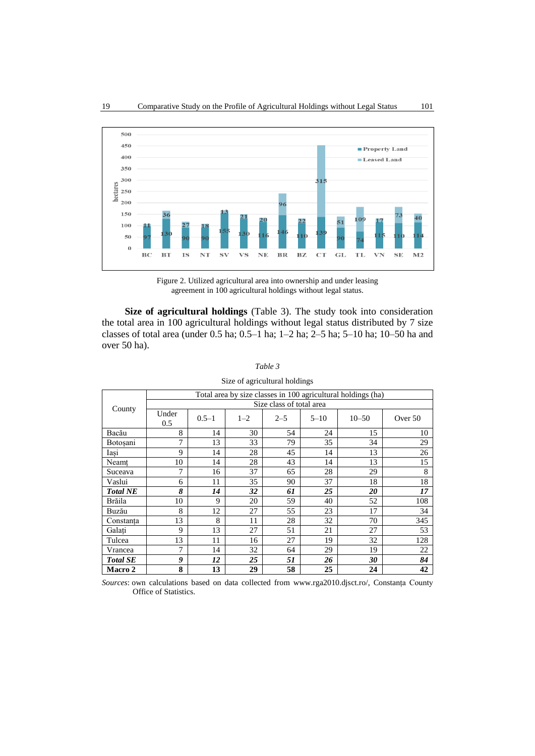

Figure 2. Utilized agricultural area into ownership and under leasing agreement in 100 agricultural holdings without legal status.

**Size of agricultural holdings** (Table 3). The study took into consideration the total area in 100 agricultural holdings without legal status distributed by 7 size classes of total area (under 0.5 ha; 0.5–1 ha; 1–2 ha; 2–5 ha; 5–10 ha; 10–50 ha and over 50 ha).

|                 | Total area by size classes in 100 agricultural holdings (ha) |           |         |         |          |           |         |  |  |  |
|-----------------|--------------------------------------------------------------|-----------|---------|---------|----------|-----------|---------|--|--|--|
| County          | Size class of total area                                     |           |         |         |          |           |         |  |  |  |
|                 | Under<br>0.5                                                 | $0.5 - 1$ | $1 - 2$ | $2 - 5$ | $5 - 10$ | $10 - 50$ | Over 50 |  |  |  |
| Bacău           | 8                                                            | 14        | 30      | 54      | 24       | 15        | 10      |  |  |  |
| Botoșani        | 7                                                            | 13        | 33      | 79      | 35       | 34        | 29      |  |  |  |
| Iasi            | 9                                                            | 14        | 28      | 45      | 14       | 13        | 26      |  |  |  |
| Neamt           | 10                                                           | 14        | 28      | 43      | 14       | 13        | 15      |  |  |  |
| Suceava         | 7                                                            | 16        | 37      | 65      | 28       | 29        | 8       |  |  |  |
| Vaslui          | 6                                                            | 11        | 35      | 90      | 37       | 18        | 18      |  |  |  |
| <b>Total NE</b> | 8                                                            | 14        | 32      | 61      | 25       | 20        | 17      |  |  |  |
| Brăila          | 10                                                           | 9         | 20      | 59      | 40       | 52        | 108     |  |  |  |
| Buzău           | 8                                                            | 12        | 27      | 55      | 23       | 17        | 34      |  |  |  |
| Constanta       | 13                                                           | 8         | 11      | 28      | 32       | 70        | 345     |  |  |  |
| Galati          | 9                                                            | 13        | 27      | 51      | 21       | 27        | 53      |  |  |  |
| Tulcea          | 13                                                           | 11        | 16      | 27      | 19       | 32        | 128     |  |  |  |
| Vrancea         | 7                                                            | 14        | 32      | 64      | 29       | 19        | 22      |  |  |  |
| <b>Total SE</b> | 9                                                            | 12        | 25      | 51      | 26       | 30        | 84      |  |  |  |
| <b>Macro 2</b>  | 8                                                            | 13        | 29      | 58      | 25       | 24        | 42      |  |  |  |

*Sources*: own calculations based on data collected from www.rga2010.djsct.ro/, Constanța County Office of Statistics.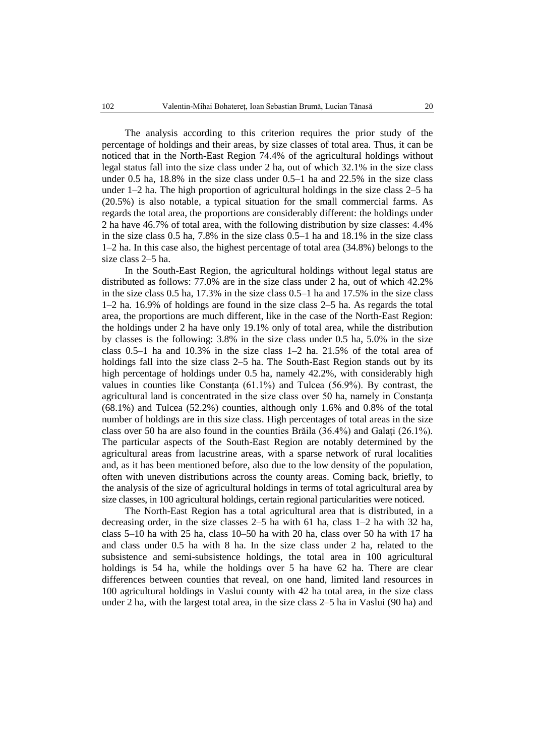The analysis according to this criterion requires the prior study of the percentage of holdings and their areas, by size classes of total area. Thus, it can be noticed that in the North-East Region 74.4% of the agricultural holdings without legal status fall into the size class under 2 ha, out of which 32.1% in the size class under 0.5 ha, 18.8% in the size class under 0.5–1 ha and 22.5% in the size class under 1–2 ha. The high proportion of agricultural holdings in the size class 2–5 ha (20.5%) is also notable, a typical situation for the small commercial farms. As regards the total area, the proportions are considerably different: the holdings under 2 ha have 46.7% of total area, with the following distribution by size classes: 4.4% in the size class 0.5 ha, 7.8% in the size class 0.5–1 ha and 18.1% in the size class 1–2 ha. In this case also, the highest percentage of total area (34.8%) belongs to the size class 2–5 ha.

In the South-East Region, the agricultural holdings without legal status are distributed as follows: 77.0% are in the size class under 2 ha, out of which 42.2% in the size class 0.5 ha, 17.3% in the size class 0.5–1 ha and 17.5% in the size class 1–2 ha. 16.9% of holdings are found in the size class 2–5 ha. As regards the total area, the proportions are much different, like in the case of the North-East Region: the holdings under 2 ha have only 19.1% only of total area, while the distribution by classes is the following: 3.8% in the size class under 0.5 ha, 5.0% in the size class 0.5–1 ha and 10.3% in the size class 1–2 ha. 21.5% of the total area of holdings fall into the size class 2–5 ha. The South-East Region stands out by its high percentage of holdings under 0.5 ha, namely 42.2%, with considerably high values in counties like Constanța (61.1%) and Tulcea (56.9%). By contrast, the agricultural land is concentrated in the size class over 50 ha, namely in Constanța (68.1%) and Tulcea (52.2%) counties, although only 1.6% and 0.8% of the total number of holdings are in this size class. High percentages of total areas in the size class over 50 ha are also found in the counties Brăila (36.4%) and Galați (26.1%). The particular aspects of the South-East Region are notably determined by the agricultural areas from lacustrine areas, with a sparse network of rural localities and, as it has been mentioned before, also due to the low density of the population, often with uneven distributions across the county areas. Coming back, briefly, to the analysis of the size of agricultural holdings in terms of total agricultural area by size classes, in 100 agricultural holdings, certain regional particularities were noticed.

The North-East Region has a total agricultural area that is distributed, in a decreasing order, in the size classes 2–5 ha with 61 ha, class 1–2 ha with 32 ha, class 5–10 ha with 25 ha, class 10–50 ha with 20 ha, class over 50 ha with 17 ha and class under 0.5 ha with 8 ha. In the size class under 2 ha, related to the subsistence and semi-subsistence holdings, the total area in 100 agricultural holdings is 54 ha, while the holdings over 5 ha have 62 ha. There are clear differences between counties that reveal, on one hand, limited land resources in 100 agricultural holdings in Vaslui county with 42 ha total area, in the size class under 2 ha, with the largest total area, in the size class 2–5 ha in Vaslui (90 ha) and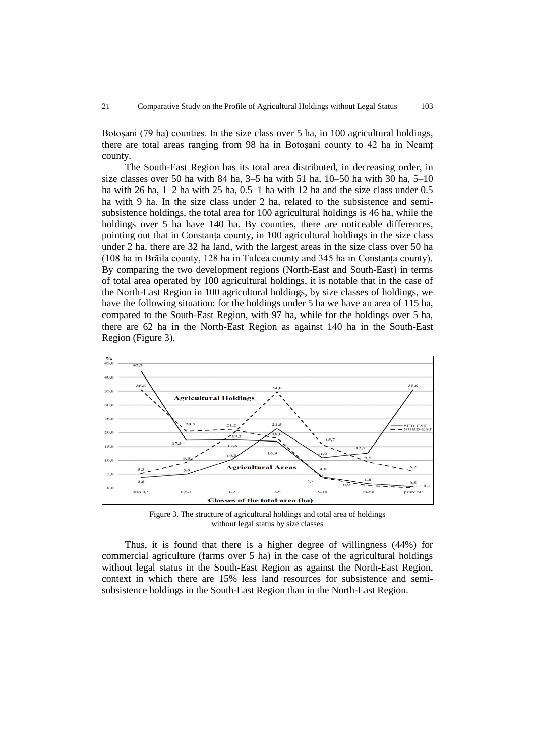Botoșani (79 ha) counties. In the size class over 5 ha, in 100 agricultural holdings, there are total areas ranging from 98 ha in Botoșani county to 42 ha in Neamț county.

The South-East Region has its total area distributed, in decreasing order, in size classes over 50 ha with 84 ha,  $3-5$  ha with 51 ha,  $10-50$  ha with 30 ha,  $5-10$ ha with 26 ha, 1–2 ha with 25 ha, 0.5–1 ha with 12 ha and the size class under 0.5 ha with 9 ha. In the size class under 2 ha, related to the subsistence and semisubsistence holdings, the total area for 100 agricultural holdings is 46 ha, while the holdings over 5 ha have 140 ha. By counties, there are noticeable differences, pointing out that in Constanța county, in 100 agricultural holdings in the size class under 2 ha, there are 32 ha land, with the largest areas in the size class over 50 ha (108 ha in Brăila county, 128 ha in Tulcea county and 345 ha in Constanța county). By comparing the two development regions (North-East and South-East) in terms of total area operated by 100 agricultural holdings, it is notable that in the case of the North-East Region in 100 agricultural holdings, by size classes of holdings, we have the following situation: for the holdings under 5 ha we have an area of 115 ha, compared to the South-East Region, with 97 ha, while for the holdings over 5 ha, there are 62 ha in the North-East Region as against 140 ha in the South-East Region (Figure 3).



Figure 3. The structure of agricultural holdings and total area of holdings without legal status by size classes

Thus, it is found that there is a higher degree of willingness (44%) for commercial agriculture (farms over 5 ha) in the case of the agricultural holdings without legal status in the South-East Region as against the North-East Region, context in which there are 15% less land resources for subsistence and semisubsistence holdings in the South-East Region than in the North-East Region.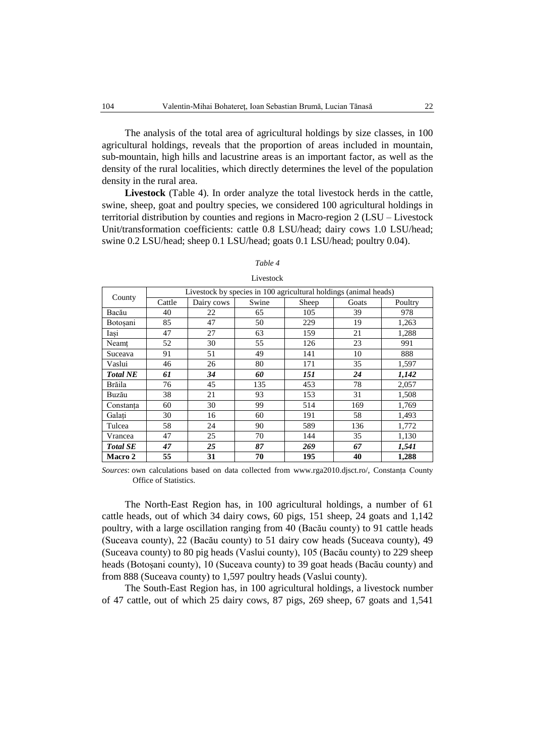The analysis of the total area of agricultural holdings by size classes, in 100 agricultural holdings, reveals that the proportion of areas included in mountain, sub-mountain, high hills and lacustrine areas is an important factor, as well as the density of the rural localities, which directly determines the level of the population density in the rural area.

**Livestock** (Table 4). In order analyze the total livestock herds in the cattle, swine, sheep, goat and poultry species, we considered 100 agricultural holdings in territorial distribution by counties and regions in Macro-region 2 (LSU – Livestock Unit/transformation coefficients: cattle 0.8 LSU/head; dairy cows 1.0 LSU/head; swine 0.2 LSU/head; sheep 0.1 LSU/head; goats 0.1 LSU/head; poultry 0.04).

|                 |        |            | Livestock by species in 100 agricultural holdings (animal heads) |       |       |         |
|-----------------|--------|------------|------------------------------------------------------------------|-------|-------|---------|
| County          | Cattle | Dairy cows | Swine                                                            | Sheep | Goats | Poultry |
| Bacău           | 40     | 22         | 65                                                               | 105   | 39    | 978     |
| Botosani        | 85     | 47         | 50                                                               | 229   | 19    | 1,263   |
| Iasi            | 47     | 27         | 63                                                               | 159   | 21    | 1,288   |
| Neamt           | 52     | 30         | 55                                                               | 126   | 23    | 991     |
| Suceava         | 91     | 51         | 49                                                               | 141   | 10    | 888     |
| Vaslui          | 46     | 26         | 80                                                               | 171   | 35    | 1,597   |
| <b>Total NE</b> | 61     | 34         | 60                                                               | 151   | 24    | 1,142   |
| Brăila          | 76     | 45         | 135                                                              | 453   | 78    | 2,057   |
| Buzău           | 38     | 21         | 93                                                               | 153   | 31    | 1,508   |
| Constanta       | 60     | 30         | 99                                                               | 514   | 169   | 1,769   |
| Galati          | 30     | 16         | 60                                                               | 191   | 58    | 1,493   |
| Tulcea          | 58     | 24         | 90                                                               | 589   | 136   | 1,772   |
| Vrancea         | 47     | 25         | 70                                                               | 144   | 35    | 1,130   |
| <b>Total SE</b> | 47     | 25         | 87                                                               | 269   | 67    | 1,541   |
| Macro 2         | 55     | 31         | 70                                                               | 195   | 40    | 1,288   |

## *Table 4* Livestock

*Sources*: own calculations based on data collected from www.rga2010.djsct.ro/, Constanța County Office of Statistics.

The North-East Region has, in 100 agricultural holdings, a number of 61 cattle heads, out of which 34 dairy cows, 60 pigs, 151 sheep, 24 goats and 1,142 poultry, with a large oscillation ranging from 40 (Bacău county) to 91 cattle heads (Suceava county), 22 (Bacău county) to 51 dairy cow heads (Suceava county), 49 (Suceava county) to 80 pig heads (Vaslui county), 105 (Bacău county) to 229 sheep heads (Botoșani county), 10 (Suceava county) to 39 goat heads (Bacău county) and from 888 (Suceava county) to 1,597 poultry heads (Vaslui county).

The South-East Region has, in 100 agricultural holdings, a livestock number of 47 cattle, out of which 25 dairy cows, 87 pigs, 269 sheep, 67 goats and 1,541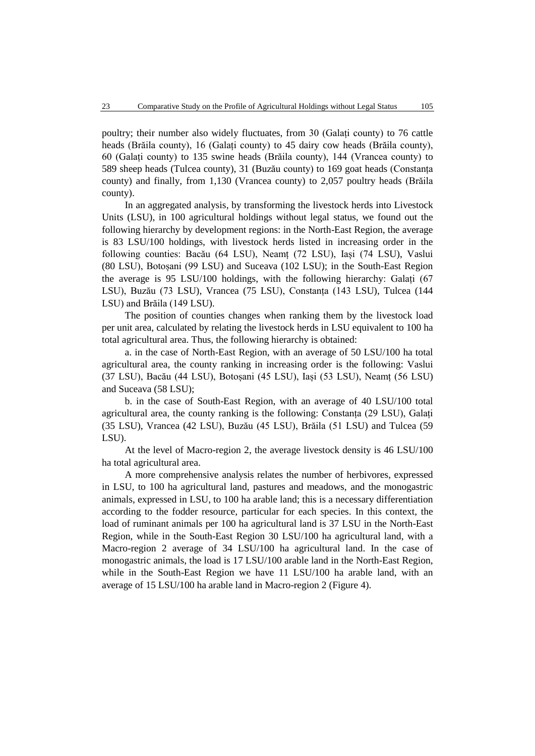poultry; their number also widely fluctuates, from 30 (Galați county) to 76 cattle heads (Brăila county), 16 (Galați county) to 45 dairy cow heads (Brăila county), 60 (Galați county) to 135 swine heads (Brăila county), 144 (Vrancea county) to 589 sheep heads (Tulcea county), 31 (Buzău county) to 169 goat heads (Constanța county) and finally, from 1,130 (Vrancea county) to 2,057 poultry heads (Brăila county).

In an aggregated analysis, by transforming the livestock herds into Livestock Units (LSU), in 100 agricultural holdings without legal status, we found out the following hierarchy by development regions: in the North-East Region, the average is 83 LSU/100 holdings, with livestock herds listed in increasing order in the following counties: Bacău (64 LSU), Neamț (72 LSU), Iași (74 LSU), Vaslui (80 LSU), Botoșani (99 LSU) and Suceava (102 LSU); in the South-East Region the average is 95 LSU/100 holdings, with the following hierarchy: Galați (67 LSU), Buzău (73 LSU), Vrancea (75 LSU), Constanța (143 LSU), Tulcea (144 LSU) and Brăila (149 LSU).

The position of counties changes when ranking them by the livestock load per unit area, calculated by relating the livestock herds in LSU equivalent to 100 ha total agricultural area. Thus, the following hierarchy is obtained:

a. in the case of North-East Region, with an average of 50 LSU/100 ha total agricultural area, the county ranking in increasing order is the following: Vaslui (37 LSU), Bacău (44 LSU), Botoșani (45 LSU), Iași (53 LSU), Neamț (56 LSU) and Suceava (58 LSU);

b. in the case of South-East Region, with an average of 40 LSU/100 total agricultural area, the county ranking is the following: Constanța (29 LSU), Galați (35 LSU), Vrancea (42 LSU), Buzău (45 LSU), Brăila (51 LSU) and Tulcea (59 LSU).

At the level of Macro-region 2, the average livestock density is 46 LSU/100 ha total agricultural area.

A more comprehensive analysis relates the number of herbivores, expressed in LSU, to 100 ha agricultural land, pastures and meadows, and the monogastric animals, expressed in LSU, to 100 ha arable land; this is a necessary differentiation according to the fodder resource, particular for each species. In this context, the load of ruminant animals per 100 ha agricultural land is 37 LSU in the North-East Region, while in the South-East Region 30 LSU/100 ha agricultural land, with a Macro-region 2 average of 34 LSU/100 ha agricultural land. In the case of monogastric animals, the load is 17 LSU/100 arable land in the North-East Region, while in the South-East Region we have 11 LSU/100 ha arable land, with an average of 15 LSU/100 ha arable land in Macro-region 2 (Figure 4).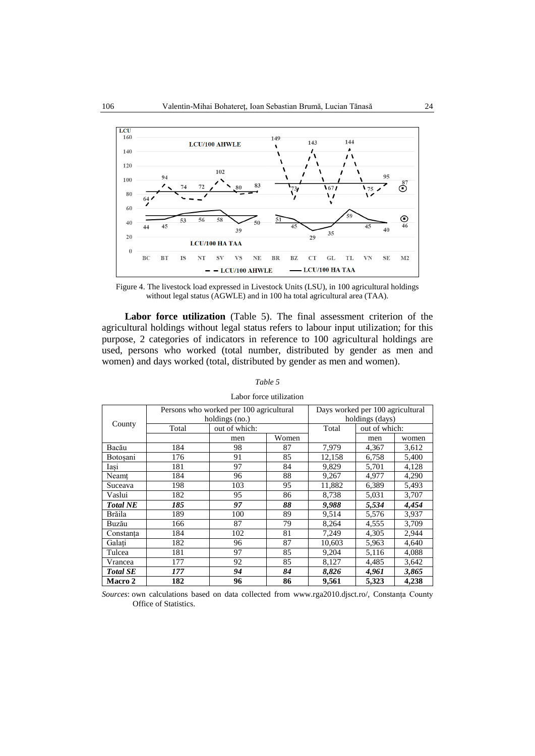

Figure 4. The livestock load expressed in Livestock Units (LSU), in 100 agricultural holdings without legal status (AGWLE) and in 100 ha total agricultural area (TAA).

**Labor force utilization** (Table 5). The final assessment criterion of the agricultural holdings without legal status refers to labour input utilization; for this purpose, 2 categories of indicators in reference to 100 agricultural holdings are used, persons who worked (total number, distributed by gender as men and women) and days worked (total, distributed by gender as men and women).

### *Table 5*

| County          |       | Persons who worked per 100 agricultural | Days worked per 100 agricultural |        |               |       |  |
|-----------------|-------|-----------------------------------------|----------------------------------|--------|---------------|-------|--|
|                 |       | holdings (no.)                          | holdings (days)                  |        |               |       |  |
|                 | Total | out of which:                           |                                  | Total  | out of which: |       |  |
|                 |       | men                                     | Women                            |        | men           | women |  |
| Bacău           | 184   | 98                                      | 87                               | 7,979  | 4,367         | 3,612 |  |
| Botosani        | 176   | 91                                      | 85                               | 12,158 | 6,758         | 5,400 |  |
| Iasi            | 181   | 97                                      | 84                               | 9,829  | 5,701         | 4,128 |  |
| Neamț           | 184   | 96                                      | 88                               | 9,267  | 4,977         | 4,290 |  |
| Suceava         | 198   | 103                                     | 95                               | 11,882 | 6,389         | 5,493 |  |
| Vaslui          | 182   | 95                                      | 86                               | 8,738  | 5,031         | 3,707 |  |
| <b>Total NE</b> | 185   | 97                                      | 88                               | 9,988  | 5,534         | 4,454 |  |
| Brăila          | 189   | 100                                     | 89                               | 9,514  | 5,576         | 3,937 |  |
| Buzău           | 166   | 87                                      | 79                               | 8,264  | 4,555         | 3,709 |  |
| Constanta       | 184   | 102                                     | 81                               | 7,249  | 4,305         | 2,944 |  |
| Galati          | 182   | 96                                      | 87                               | 10,603 | 5,963         | 4,640 |  |
| Tulcea          | 181   | 97                                      | 85                               | 9,204  | 5,116         | 4,088 |  |
| Vrancea         | 177   | 92                                      | 85                               | 8,127  | 4,485         | 3,642 |  |
| <b>Total SE</b> | 177   | 94                                      | 84                               | 8,826  | 4,961         | 3,865 |  |
| <b>Macro 2</b>  | 182   | 96                                      | 86                               | 9,561  | 5,323         | 4,238 |  |

### Labor force utilization

*Sources*: own calculations based on data collected from www.rga2010.djsct.ro/, Constanța County Office of Statistics.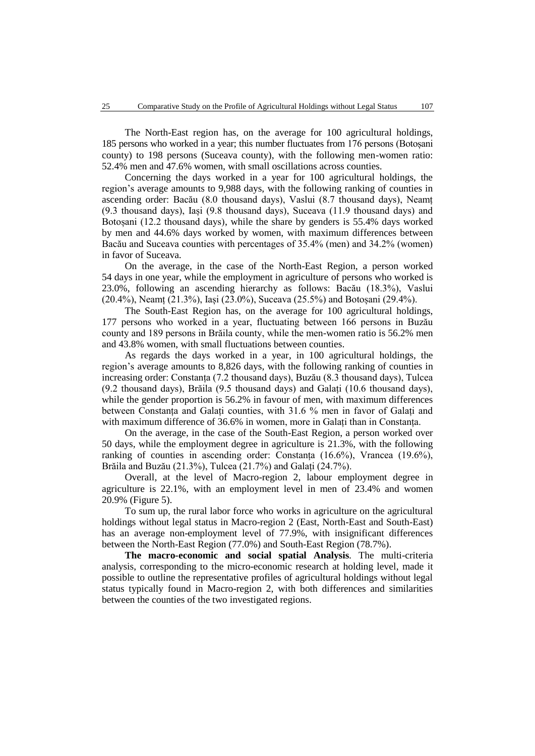The North-East region has, on the average for 100 agricultural holdings, 185 persons who worked in a year; this number fluctuates from 176 persons (Botoșani county) to 198 persons (Suceava county), with the following men-women ratio: 52.4% men and 47.6% women, with small oscillations across counties.

Concerning the days worked in a year for 100 agricultural holdings, the region's average amounts to 9,988 days, with the following ranking of counties in ascending order: Bacău (8.0 thousand days), Vaslui (8.7 thousand days), Neamț (9.3 thousand days), Iași (9.8 thousand days), Suceava (11.9 thousand days) and Botoșani (12.2 thousand days), while the share by genders is 55.4% days worked by men and 44.6% days worked by women, with maximum differences between Bacău and Suceava counties with percentages of 35.4% (men) and 34.2% (women) in favor of Suceava.

On the average, in the case of the North-East Region, a person worked 54 days in one year, while the employment in agriculture of persons who worked is 23.0%, following an ascending hierarchy as follows: Bacău (18.3%), Vaslui (20.4%), Neamț (21.3%), Iași (23.0%), Suceava (25.5%) and Botoșani (29.4%).

The South-East Region has, on the average for 100 agricultural holdings, 177 persons who worked in a year, fluctuating between 166 persons in Buzău county and 189 persons in Brăila county, while the men-women ratio is 56.2% men and 43.8% women, with small fluctuations between counties.

As regards the days worked in a year, in 100 agricultural holdings, the region's average amounts to 8,826 days, with the following ranking of counties in increasing order: Constanța (7.2 thousand days), Buzău (8.3 thousand days), Tulcea (9.2 thousand days), Brăila (9.5 thousand days) and Galați (10.6 thousand days), while the gender proportion is 56.2% in favour of men, with maximum differences between Constanța and Galați counties, with 31.6 % men in favor of Galați and with maximum difference of 36.6% in women, more in Galați than in Constanța.

On the average, in the case of the South-East Region, a person worked over 50 days, while the employment degree in agriculture is 21.3%, with the following ranking of counties in ascending order: Constanța (16.6%), Vrancea (19.6%), Brăila and Buzău (21.3%), Tulcea (21.7%) and Galați (24.7%).

Overall, at the level of Macro-region 2, labour employment degree in agriculture is 22.1%, with an employment level in men of 23.4% and women 20.9% (Figure 5).

To sum up, the rural labor force who works in agriculture on the agricultural holdings without legal status in Macro-region 2 (East, North-East and South-East) has an average non-employment level of 77.9%, with insignificant differences between the North-East Region (77.0%) and South-East Region (78.7%).

**The macro-economic and social spatial Analysis***.* The multi-criteria analysis, corresponding to the micro-economic research at holding level, made it possible to outline the representative profiles of agricultural holdings without legal status typically found in Macro-region 2, with both differences and similarities between the counties of the two investigated regions.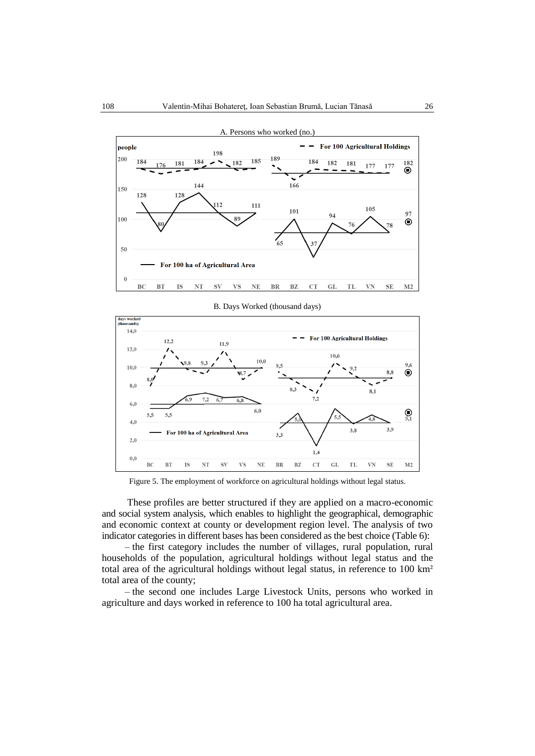





Figure 5. The employment of workforce on agricultural holdings without legal status.

These profiles are better structured if they are applied on a macro-economic and social system analysis, which enables to highlight the geographical, demographic and economic context at county or development region level. The analysis of two indicator categories in different bases has been considered as the best choice (Table 6):

– the first category includes the number of villages, rural population, rural households of the population, agricultural holdings without legal status and the total area of the agricultural holdings without legal status, in reference to 100 km² total area of the county;

– the second one includes Large Livestock Units, persons who worked in agriculture and days worked in reference to 100 ha total agricultural area.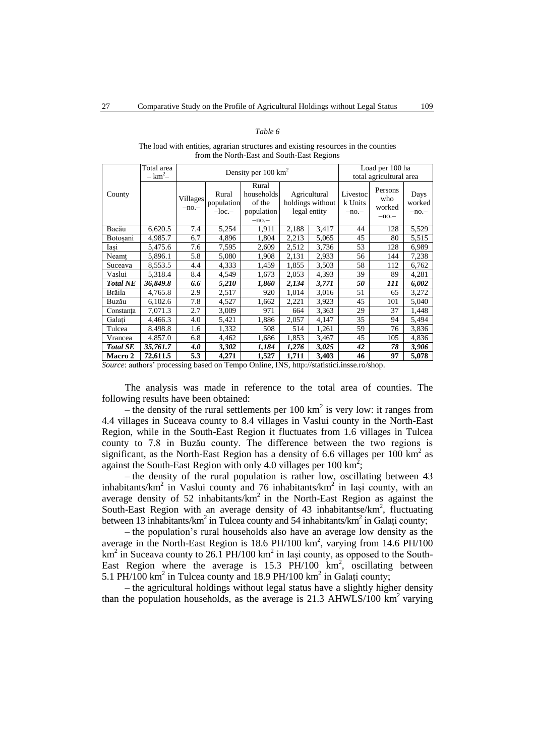#### *Table 6*

The load with entities, agrarian structures and existing resources in the counties from the North-East and South-East Regions

|                                | Total area<br>$-$ km <sup>2</sup> $-$ |                     |                                       | Density per $100 \text{ km}^2$                        |                                                  | Load per 100 ha<br>total agricultural area |                               |                                   |                          |
|--------------------------------|---------------------------------------|---------------------|---------------------------------------|-------------------------------------------------------|--------------------------------------------------|--------------------------------------------|-------------------------------|-----------------------------------|--------------------------|
| County                         |                                       | Villages<br>$-no-$  | Rural<br>population<br>$-loc.$        | Rural<br>households<br>of the<br>population<br>$-no-$ | Agricultural<br>holdings without<br>legal entity |                                            | Livestoc<br>k Units<br>$-no-$ | Persons<br>who<br>worked<br>$-no$ | Days<br>worked<br>$-no-$ |
| Bacău                          | 6,620.5                               | 7.4                 | 5,254                                 | 1,911                                                 | 2,188                                            | 3,417                                      | 44                            | 128                               | 5,529                    |
| Botosani                       | 4,985.7                               | 6.7                 | 4,896                                 | 1,804                                                 | 2,213                                            | 5,065                                      | 45                            | 80                                | 5,515                    |
| Iasi                           | 5,475.6                               | 7.6                 | 7,595                                 | 2,609                                                 | 2,512                                            | 3,736                                      | 53                            | 128                               | 6,989                    |
| Neamț                          | 5,896.1                               | 5.8                 | 5,080                                 | 1,908                                                 | 2,131                                            | 2,933                                      | 56                            | 144                               | 7,238                    |
| Suceava                        | 8,553.5                               | 4.4                 | 4,333                                 | 1,459                                                 | 1,855                                            | 3,503                                      | 58                            | 112                               | 6,762                    |
| Vaslui                         | 5,318.4                               | 8.4                 | 4,549                                 | 1,673                                                 | 2,053                                            | 4,393                                      | 39                            | 89                                | 4,281                    |
| <b>Total NE</b>                | 36,849.8                              | 6.6                 | 5,210                                 | 1,860                                                 | 2,134                                            | 3,771                                      | 50                            | 111                               | 6,002                    |
| Brăila                         | 4,765.8                               | 2.9                 | 2,517                                 | 920                                                   | 1,014                                            | 3,016                                      | 51                            | 65                                | 3,272                    |
| Buzău                          | 6,102.6                               | 7.8                 | 4,527                                 | 1,662                                                 | 2,221                                            | 3,923                                      | 45                            | 101                               | 5,040                    |
| Constanța                      | 7,071.3                               | 2.7                 | 3,009                                 | 971                                                   | 664                                              | 3,363                                      | 29                            | 37                                | 1,448                    |
| Galati                         | 4,466.3                               | 4.0                 | 5,421                                 | 1,886                                                 | 2,057                                            | 4,147                                      | 35                            | 94                                | 5,494                    |
| Tulcea                         | 8,498.8                               | 1.6                 | 1,332                                 | 508                                                   | 514                                              | 1,261                                      | 59                            | 76                                | 3,836                    |
| Vrancea                        | 4,857.0                               | 6.8                 | 4,462                                 | 1,686                                                 | 1,853                                            | 3,467                                      | 45                            | 105                               | 4,836                    |
| <b>Total SE</b>                | 35,761.7                              | 4.0                 | 3,302                                 | 1,184                                                 | 1,276                                            | 3,025                                      | 42                            | 78                                | 3,906                    |
| Macro 2<br>$\sim$<br>$\cdot$ 1 | 72,611.5                              | 5.3<br>$\mathbf{1}$ | 4,271<br>$\mathbf{r}$<br>$\mathbf{1}$ | 1,527<br>$\sim$ $\cdot$                               | 1,711<br>TNTC 1                                  | 3,403                                      | 46                            | 97<br>$\sqrt{1}$                  | 5,078                    |

*Source*: authors' processing based on Tempo Online, INS, http://statistici.insse.ro/shop.

The analysis was made in reference to the total area of counties. The following results have been obtained:

– the density of the rural settlements per  $100 \text{ km}^2$  is very low: it ranges from 4.4 villages in Suceava county to 8.4 villages in Vaslui county in the North-East Region, while in the South-East Region it fluctuates from 1.6 villages in Tulcea county to 7.8 in Buzău county. The difference between the two regions is significant, as the North-East Region has a density of 6.6 villages per  $100 \text{ km}^2$  as against the South-East Region with only 4.0 villages per 100 km<sup>2</sup>;

– the density of the rural population is rather low, oscillating between 43 inhabitants/km<sup>2</sup> in Vaslui county and 76 inhabitants/km<sup>2</sup> in Iași county, with an average density of 52 inhabitants/ $km^2$  in the North-East Region as against the South-East Region with an average density of 43 inhabitantse/ $km^2$ , fluctuating between 13 inhabitants/km<sup>2</sup> in Tulcea county and 54 inhabitants/km<sup>2</sup> in Galați county;

– the population's rural households also have an average low density as the average in the North-East Region is  $18.6$  PH/100 km<sup>2</sup>, varying from  $14.6$  PH/100 km<sup>2</sup> in Suceava county to 26.1 PH/100 km<sup>2</sup> in Iași county, as opposed to the South-East Region where the average is  $15.3$  PH/100  $\text{km}^2$ , oscillating between 5.1 PH/100 km<sup>2</sup> in Tulcea county and 18.9 PH/100 km<sup>2</sup> in Galați county;

– the agricultural holdings without legal status have a slightly higher density than the population households, as the average is  $21.3$  AHWLS/100 km<sup>2</sup> varying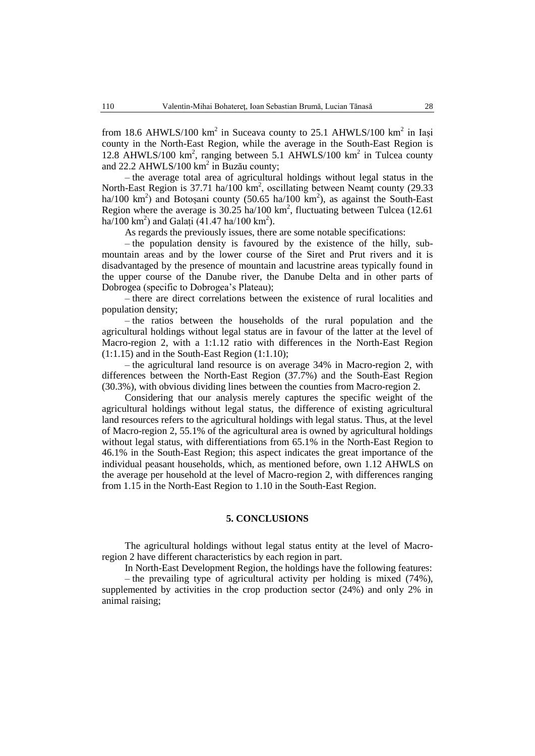from 18.6 AHWLS/100 km<sup>2</sup> in Suceava county to 25.1 AHWLS/100 km<sup>2</sup> in Iași county in the North-East Region, while the average in the South-East Region is 12.8 AHWLS/100 km<sup>2</sup>, ranging between 5.1 AHWLS/100 km<sup>2</sup> in Tulcea county and 22.2 AHWLS/100 km<sup>2</sup> in Buzău county;

– the average total area of agricultural holdings without legal status in the North-East Region is 37.71 ha/100  $km^2$ , oscillating between Neamț county (29.33 ha/100 km<sup>2</sup>) and Botoșani county (50.65 ha/100 km<sup>2</sup>), as against the South-East Region where the average is  $30.25$  ha/100 km<sup>2</sup>, fluctuating between Tulcea (12.61) ha/100 km²) and Galați (41.47 ha/100 km²).

As regards the previously issues, there are some notable specifications:

– the population density is favoured by the existence of the hilly, submountain areas and by the lower course of the Siret and Prut rivers and it is disadvantaged by the presence of mountain and lacustrine areas typically found in the upper course of the Danube river, the Danube Delta and in other parts of Dobrogea (specific to Dobrogea's Plateau);

– there are direct correlations between the existence of rural localities and population density;

– the ratios between the households of the rural population and the agricultural holdings without legal status are in favour of the latter at the level of Macro-region 2, with a 1:1.12 ratio with differences in the North-East Region (1:1.15) and in the South-East Region (1:1.10);

– the agricultural land resource is on average 34% in Macro-region 2, with differences between the North-East Region (37.7%) and the South-East Region (30.3%), with obvious dividing lines between the counties from Macro-region 2.

Considering that our analysis merely captures the specific weight of the agricultural holdings without legal status, the difference of existing agricultural land resources refers to the agricultural holdings with legal status. Thus, at the level of Macro-region 2, 55.1% of the agricultural area is owned by agricultural holdings without legal status, with differentiations from 65.1% in the North-East Region to 46.1% in the South-East Region; this aspect indicates the great importance of the individual peasant households, which, as mentioned before, own 1.12 AHWLS on the average per household at the level of Macro-region 2, with differences ranging from 1.15 in the North-East Region to 1.10 in the South-East Region.

### **5. CONCLUSIONS**

The agricultural holdings without legal status entity at the level of Macroregion 2 have different characteristics by each region in part.

In North-East Development Region, the holdings have the following features:

– the prevailing type of agricultural activity per holding is mixed (74%), supplemented by activities in the crop production sector (24%) and only 2% in animal raising;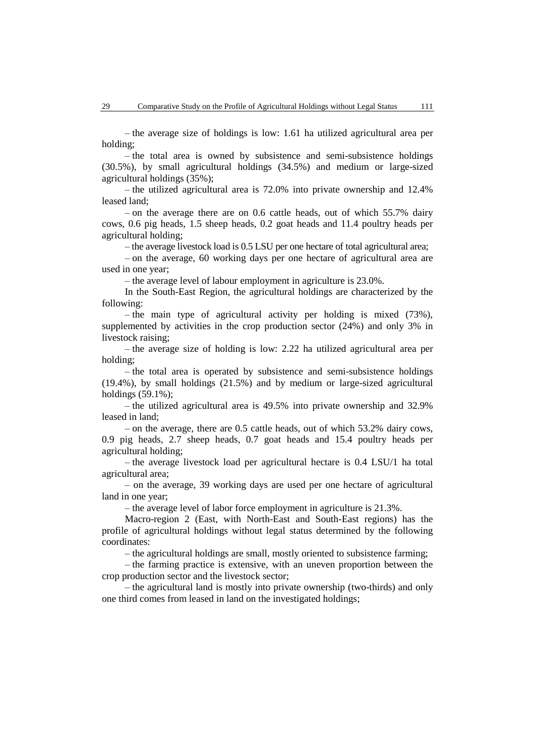– the average size of holdings is low: 1.61 ha utilized agricultural area per holding;

– the total area is owned by subsistence and semi-subsistence holdings (30.5%), by small agricultural holdings (34.5%) and medium or large-sized agricultural holdings (35%);

– the utilized agricultural area is 72.0% into private ownership and 12.4% leased land;

– on the average there are on 0.6 cattle heads, out of which 55.7% dairy cows, 0.6 pig heads, 1.5 sheep heads, 0.2 goat heads and 11.4 poultry heads per agricultural holding;

– the average livestock load is 0.5 LSU per one hectare of total agricultural area;

– on the average, 60 working days per one hectare of agricultural area are used in one year;

– the average level of labour employment in agriculture is 23.0%.

In the South-East Region, the agricultural holdings are characterized by the following:

– the main type of agricultural activity per holding is mixed (73%), supplemented by activities in the crop production sector (24%) and only 3% in livestock raising;

– the average size of holding is low: 2.22 ha utilized agricultural area per holding;

– the total area is operated by subsistence and semi-subsistence holdings (19.4%), by small holdings (21.5%) and by medium or large-sized agricultural holdings (59.1%);

– the utilized agricultural area is 49.5% into private ownership and 32.9% leased in land;

– on the average, there are 0.5 cattle heads, out of which 53.2% dairy cows, 0.9 pig heads, 2.7 sheep heads, 0.7 goat heads and 15.4 poultry heads per agricultural holding;

– the average livestock load per agricultural hectare is 0.4 LSU/1 ha total agricultural area;

– on the average, 39 working days are used per one hectare of agricultural land in one year;

– the average level of labor force employment in agriculture is 21.3%.

Macro-region 2 (East, with North-East and South-East regions) has the profile of agricultural holdings without legal status determined by the following coordinates:

– the agricultural holdings are small, mostly oriented to subsistence farming;

– the farming practice is extensive, with an uneven proportion between the crop production sector and the livestock sector;

– the agricultural land is mostly into private ownership (two-thirds) and only one third comes from leased in land on the investigated holdings;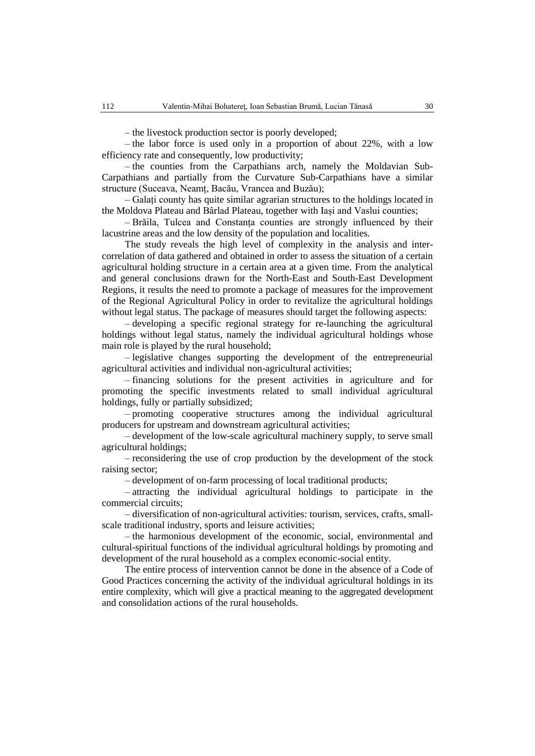– the livestock production sector is poorly developed;

– the labor force is used only in a proportion of about 22%, with a low efficiency rate and consequently, low productivity;

– the counties from the Carpathians arch, namely the Moldavian Sub-Carpathians and partially from the Curvature Sub-Carpathians have a similar structure (Suceava, Neamț, Bacău, Vrancea and Buzău);

– Galați county has quite similar agrarian structures to the holdings located in the Moldova Plateau and Bârlad Plateau, together with Iași and Vaslui counties;

– Brăila, Tulcea and Constanța counties are strongly influenced by their lacustrine areas and the low density of the population and localities.

The study reveals the high level of complexity in the analysis and intercorrelation of data gathered and obtained in order to assess the situation of a certain agricultural holding structure in a certain area at a given time. From the analytical and general conclusions drawn for the North-East and South-East Development Regions, it results the need to promote a package of measures for the improvement of the Regional Agricultural Policy in order to revitalize the agricultural holdings without legal status. The package of measures should target the following aspects:

– developing a specific regional strategy for re-launching the agricultural holdings without legal status, namely the individual agricultural holdings whose main role is played by the rural household;

– legislative changes supporting the development of the entrepreneurial agricultural activities and individual non-agricultural activities;

– financing solutions for the present activities in agriculture and for promoting the specific investments related to small individual agricultural holdings, fully or partially subsidized;

– promoting cooperative structures among the individual agricultural producers for upstream and downstream agricultural activities;

– development of the low-scale agricultural machinery supply, to serve small agricultural holdings;

– reconsidering the use of crop production by the development of the stock raising sector;

– development of on-farm processing of local traditional products;

– attracting the individual agricultural holdings to participate in the commercial circuits;

– diversification of non-agricultural activities: tourism, services, crafts, smallscale traditional industry, sports and leisure activities;

– the harmonious development of the economic, social, environmental and cultural-spiritual functions of the individual agricultural holdings by promoting and development of the rural household as a complex economic-social entity.

The entire process of intervention cannot be done in the absence of a Code of Good Practices concerning the activity of the individual agricultural holdings in its entire complexity, which will give a practical meaning to the aggregated development and consolidation actions of the rural households.